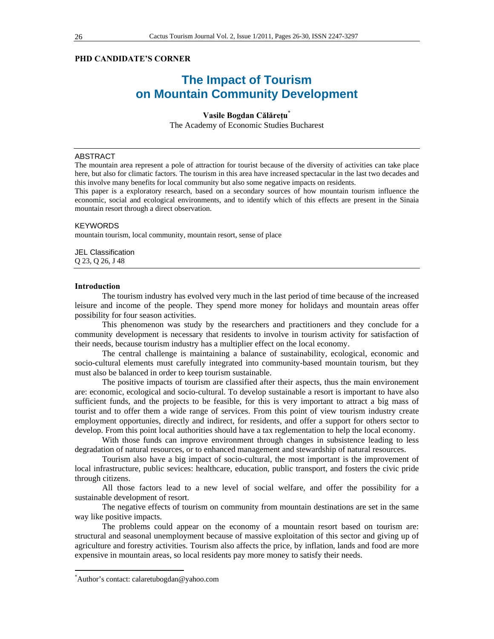# **PHD CANDIDATE'S CORNER**

# **The Impact of Tourism on Mountain Community Development**

## **Vasile Bogdan Călăreţu\***

The Academy of Economic Studies Bucharest

## ABSTRACT

The mountain area represent a pole of attraction for tourist because of the diversity of activities can take place here, but also for climatic factors. The tourism in this area have increased spectacular in the last two decades and this involve many benefits for local community but also some negative impacts on residents.

This paper is a exploratory research, based on a secondary sources of how mountain tourism influence the economic, social and ecological environments, and to identify which of this effects are present in the Sinaia mountain resort through a direct observation.

### KEYWORDS

mountain tourism, local community, mountain resort, sense of place

JEL Classification Q 23, Q 26, J 48

#### **Introduction**

The tourism industry has evolved very much in the last period of time because of the increased leisure and income of the people. They spend more money for holidays and mountain areas offer possibility for four season activities.

This phenomenon was study by the researchers and practitioners and they conclude for a community development is necessary that residents to involve in tourism activity for satisfaction of their needs, because tourism industry has a multiplier effect on the local economy.

The central challenge is maintaining a balance of sustainability, ecological, economic and socio-cultural elements must carefully integrated into community-based mountain tourism, but they must also be balanced in order to keep tourism sustainable.

The positive impacts of tourism are classified after their aspects, thus the main environement are: economic, ecological and socio-cultural. To develop sustainable a resort is important to have also sufficient funds, and the projects to be feasible, for this is very important to attract a big mass of tourist and to offer them a wide range of services. From this point of view tourism industry create employment opportunies, directly and indirect, for residents, and offer a support for others sector to develop. From this point local authorities should have a tax reglementation to help the local economy.

With those funds can improve environment through changes in subsistence leading to less degradation of natural resources, or to enhanced management and stewardship of natural resources.

Tourism also have a big impact of socio-cultural, the most important is the improvement of local infrastructure, public sevices: healthcare, education, public transport, and fosters the civic pride through citizens.

All those factors lead to a new level of social welfare, and offer the possibility for a sustainable development of resort.

The negative effects of tourism on community from mountain destinations are set in the same way like positive impacts.

The problems could appear on the economy of a mountain resort based on tourism are: structural and seasonal unemployment because of massive exploitation of this sector and giving up of agriculture and forestry activities. Tourism also affects the price, by inflation, lands and food are more expensive in mountain areas, so local residents pay more money to satisfy their needs.

 $\overline{a}$ 

<sup>\*</sup> Author's contact: calaretubogdan@yahoo.com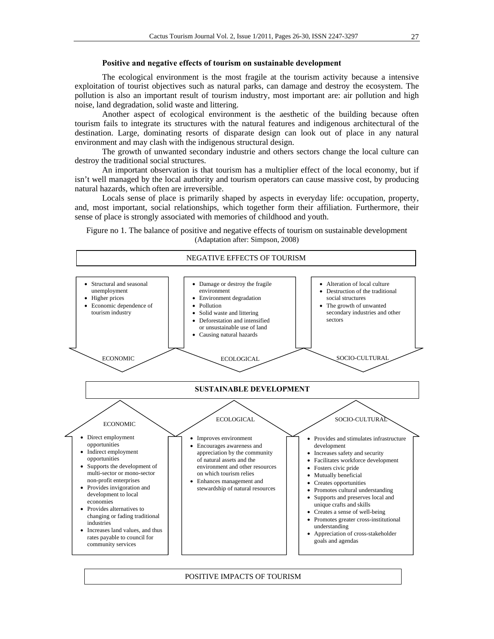#### **Positive and negative effects of tourism on sustainable development**

The ecological environment is the most fragile at the tourism activity because a intensive exploitation of tourist objectives such as natural parks, can damage and destroy the ecosystem. The pollution is also an important result of tourism industry, most important are: air pollution and high noise, land degradation, solid waste and littering.

Another aspect of ecological environment is the aesthetic of the building because often tourism fails to integrate its structures with the natural features and indigenous architectural of the destination. Large, dominating resorts of disparate design can look out of place in any natural environment and may clash with the indigenous structural design.

The growth of unwanted secondary industrie and others sectors change the local culture can destroy the traditional social structures.

An important observation is that tourism has a multiplier effect of the local economy, but if isn't well managed by the local authority and tourism operators can cause massive cost, by producing natural hazards, which often are irreversible.

Locals sense of place is primarily shaped by aspects in everyday life: occupation, property, and, most important, social relationships, which together form their affiliation. Furthermore, their sense of place is strongly associated with memories of childhood and youth.

Figure no 1. The balance of positive and negative effects of tourism on sustainable development (Adaptation after: Simpson, 2008)



#### POSITIVE IMPACTS OF TOURISM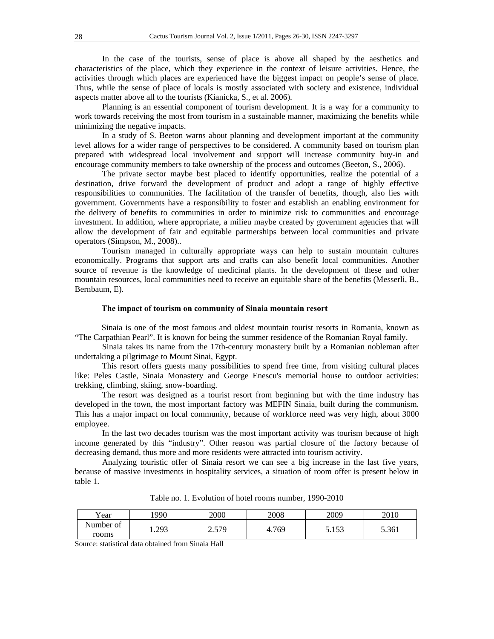In the case of the tourists, sense of place is above all shaped by the aesthetics and characteristics of the place, which they experience in the context of leisure activities. Hence, the activities through which places are experienced have the biggest impact on people's sense of place. Thus, while the sense of place of locals is mostly associated with society and existence, individual aspects matter above all to the tourists (Kianicka, S., et al. 2006).

Planning is an essential component of tourism development. It is a way for a community to work towards receiving the most from tourism in a sustainable manner, maximizing the benefits while minimizing the negative impacts.

In a study of S. Beeton warns about planning and development important at the community level allows for a wider range of perspectives to be considered. A community based on tourism plan prepared with widespread local involvement and support will increase community buy-in and encourage community members to take ownership of the process and outcomes (Beeton, S., 2006).

The private sector maybe best placed to identify opportunities, realize the potential of a destination, drive forward the development of product and adopt a range of highly effective responsibilities to communities. The facilitation of the transfer of benefits, though, also lies with government. Governments have a responsibility to foster and establish an enabling environment for the delivery of benefits to communities in order to minimize risk to communities and encourage investment. In addition, where appropriate, a milieu maybe created by government agencies that will allow the development of fair and equitable partnerships between local communities and private operators (Simpson, M., 2008)..

Tourism managed in culturally appropriate ways can help to sustain mountain cultures economically. Programs that support arts and crafts can also benefit local communities. Another source of revenue is the knowledge of medicinal plants. In the development of these and other mountain resources, local communities need to receive an equitable share of the benefits (Messerli, B., Bernbaum, E).

#### **The impact of tourism on community of Sinaia mountain resort**

Sinaia is one of the most famous and oldest mountain tourist resorts in Romania, known as "The Carpathian Pearl". It is known for being the summer residence of the Romanian Royal family.

Sinaia takes its name from the 17th-century monastery built by a Romanian nobleman after undertaking a pilgrimage to Mount Sinai, Egypt.

This resort offers guests many possibilities to spend free time, from visiting cultural places like: Peles Castle, Sinaia Monastery and George Enescu's memorial house to outdoor activities: trekking, climbing, skiing, snow-boarding.

The resort was designed as a tourist resort from beginning but with the time industry has developed in the town, the most important factory was MEFIN Sinaia, built during the communism. This has a major impact on local community, because of workforce need was very high, about 3000 employee.

In the last two decades tourism was the most important activity was tourism because of high income generated by this "industry". Other reason was partial closure of the factory because of decreasing demand, thus more and more residents were attracted into tourism activity.

Analyzing touristic offer of Sinaia resort we can see a big increase in the last five years, because of massive investments in hospitality services, a situation of room offer is present below in table 1.

| Year               | 1990 | 2000  | 2008  | 2009                | 2010  |
|--------------------|------|-------|-------|---------------------|-------|
| Number of<br>rooms | .293 | 2.579 | 4.769 | 152<br><u>J.IJJ</u> | 5.361 |

Table no. 1. Evolution of hotel rooms number, 1990-2010

Source: statistical data obtained from Sinaia Hall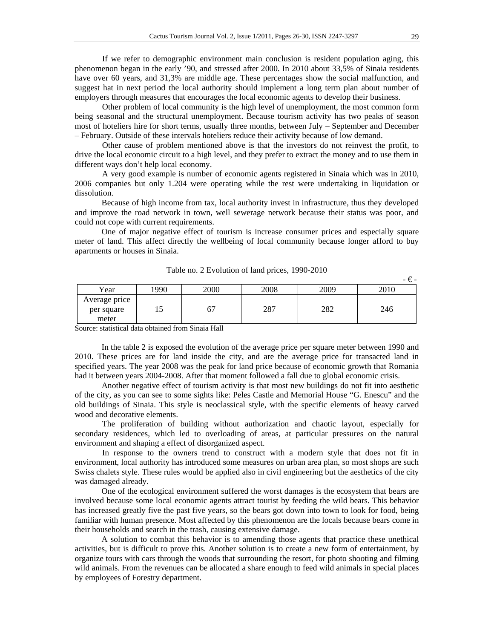If we refer to demographic environment main conclusion is resident population aging, this phenomenon began in the early '90, and stressed after 2000. In 2010 about 33,5% of Sinaia residents have over 60 years, and 31,3% are middle age. These percentages show the social malfunction, and suggest hat in next period the local authority should implement a long term plan about number of employers through measures that encourages the local economic agents to develop their business.

Other problem of local community is the high level of unemployment, the most common form being seasonal and the structural unemployment. Because tourism activity has two peaks of season most of hoteliers hire for short terms, usually three months, between July – September and December – February. Outside of these intervals hoteliers reduce their activity because of low demand.

Other cause of problem mentioned above is that the investors do not reinvest the profit, to drive the local economic circuit to a high level, and they prefer to extract the money and to use them in different ways don't help local economy.

A very good example is number of economic agents registered in Sinaia which was in 2010, 2006 companies but only 1.204 were operating while the rest were undertaking in liquidation or dissolution.

Because of high income from tax, local authority invest in infrastructure, thus they developed and improve the road network in town, well sewerage network because their status was poor, and could not cope with current requirements.

One of major negative effect of tourism is increase consumer prices and especially square meter of land. This affect directly the wellbeing of local community because longer afford to buy apartments or houses in Sinaia.

|                                      |     |      |      |      | -€-  |
|--------------------------------------|-----|------|------|------|------|
| Year                                 | 990 | 2000 | 2008 | 2009 | 2010 |
| Average price<br>per square<br>meter | ⊥J  | б.   | 287  | 282  | 246  |

Table no. 2 Evolution of land prices, 1990-2010

Source: statistical data obtained from Sinaia Hall

In the table 2 is exposed the evolution of the average price per square meter between 1990 and 2010. These prices are for land inside the city, and are the average price for transacted land in specified years. The year 2008 was the peak for land price because of economic growth that Romania had it between years 2004-2008. After that moment followed a fall due to global economic crisis.

Another negative effect of tourism activity is that most new buildings do not fit into aesthetic of the city, as you can see to some sights like: Peles Castle and Memorial House "G. Enescu" and the old buildings of Sinaia. This style is neoclassical style, with the specific elements of heavy carved wood and decorative elements.

The proliferation of building without authorization and chaotic layout, especially for secondary residences, which led to overloading of areas, at particular pressures on the natural environment and shaping a effect of disorganized aspect.

In response to the owners trend to construct with a modern style that does not fit in environment, local authority has introduced some measures on urban area plan, so most shops are such Swiss chalets style. These rules would be applied also in civil engineering but the aesthetics of the city was damaged already.

One of the ecological environment suffered the worst damages is the ecosystem that bears are involved because some local economic agents attract tourist by feeding the wild bears. This behavior has increased greatly five the past five years, so the bears got down into town to look for food, being familiar with human presence. Most affected by this phenomenon are the locals because bears come in their households and search in the trash, causing extensive damage.

A solution to combat this behavior is to amending those agents that practice these unethical activities, but is difficult to prove this. Another solution is to create a new form of entertainment, by organize tours with cars through the woods that surrounding the resort, for photo shooting and filming wild animals. From the revenues can be allocated a share enough to feed wild animals in special places by employees of Forestry department.